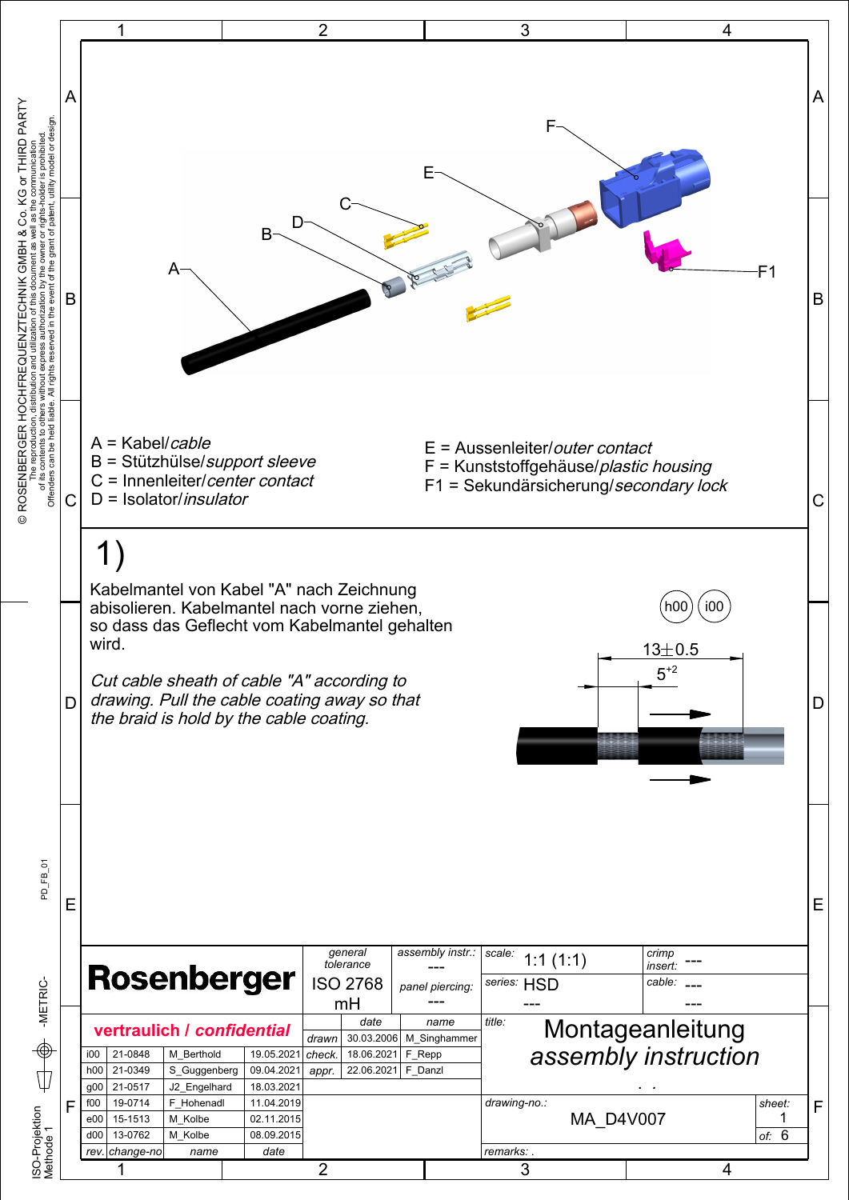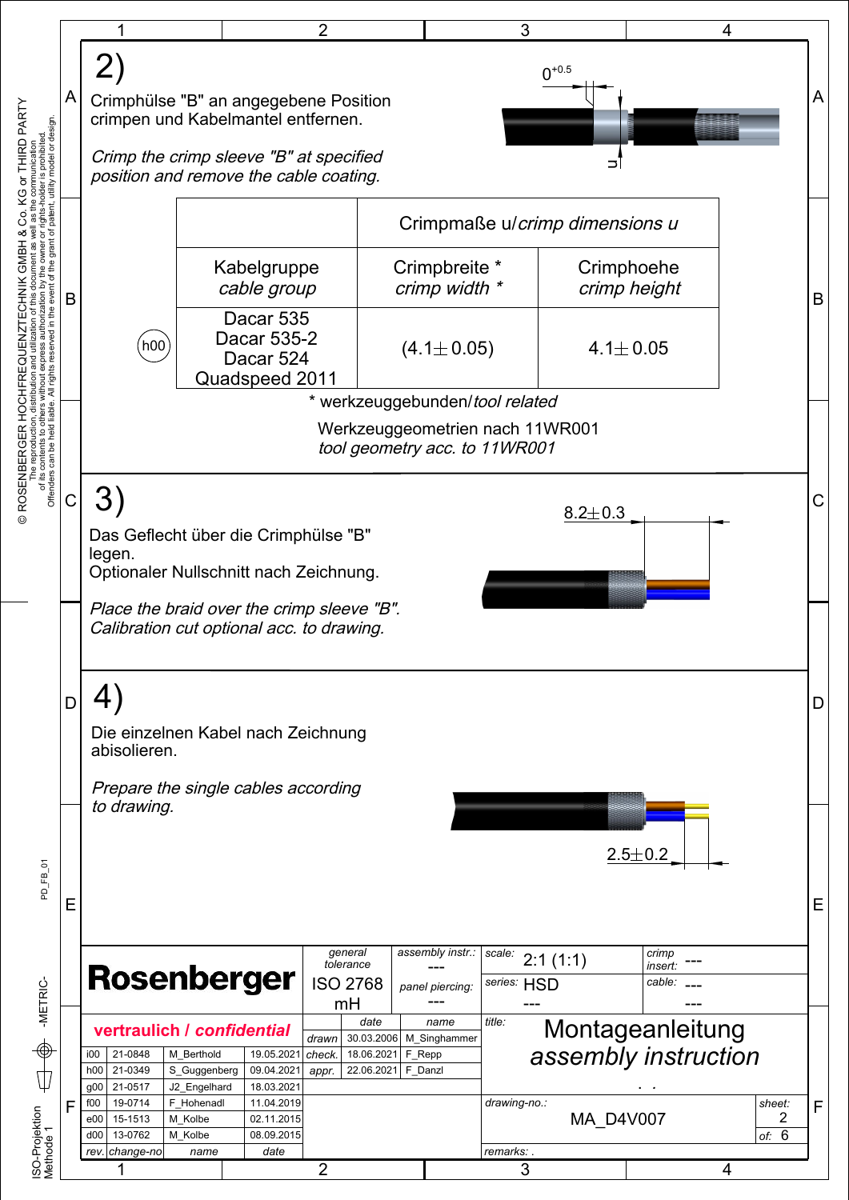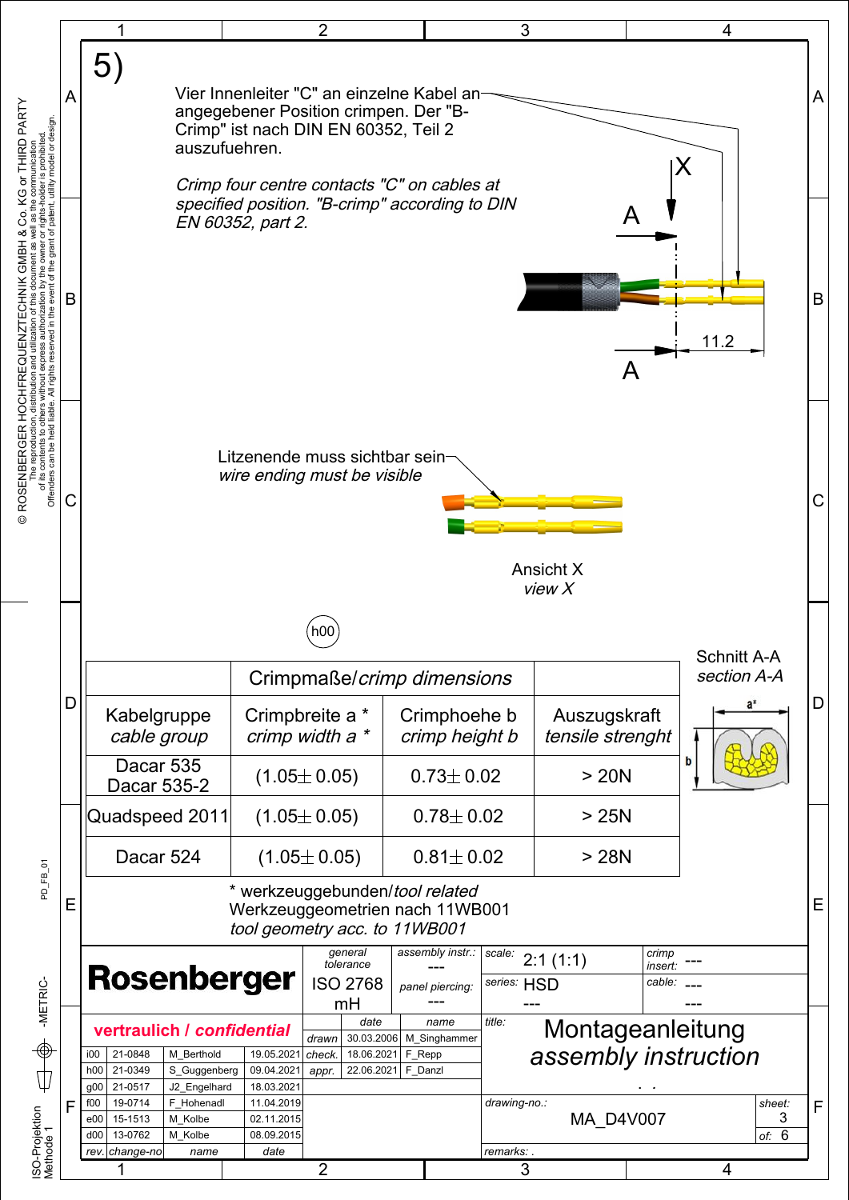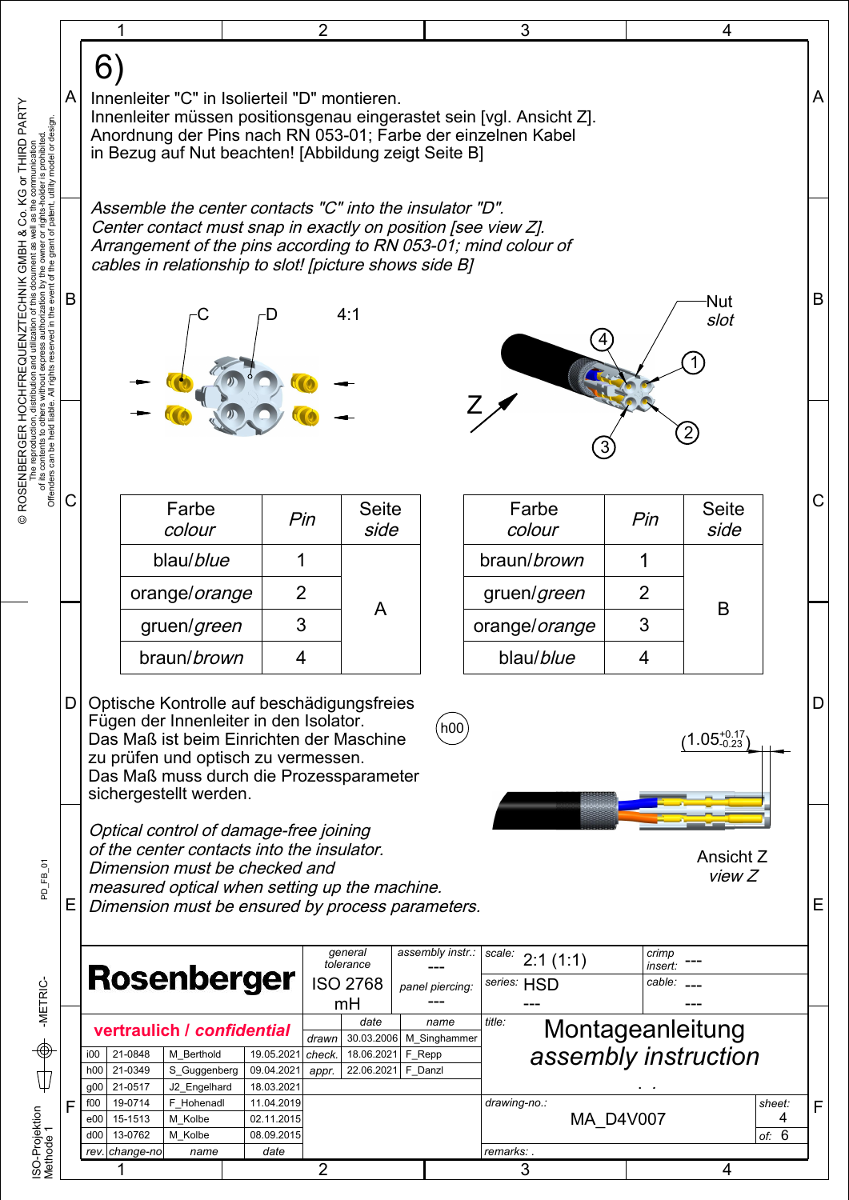|   |                                                                           |                                                                                                                                                                                             |   |                          | 2                                                      |                        | 3                                                                                                                                    |                  | 4                    |  |  |
|---|---------------------------------------------------------------------------|---------------------------------------------------------------------------------------------------------------------------------------------------------------------------------------------|---|--------------------------|--------------------------------------------------------|------------------------|--------------------------------------------------------------------------------------------------------------------------------------|------------------|----------------------|--|--|
|   | 6                                                                         |                                                                                                                                                                                             |   |                          |                                                        |                        |                                                                                                                                      |                  |                      |  |  |
| A |                                                                           |                                                                                                                                                                                             |   |                          | Innenleiter "C" in Isolierteil "D" montieren.          |                        |                                                                                                                                      |                  |                      |  |  |
|   |                                                                           |                                                                                                                                                                                             |   |                          |                                                        |                        | Innenleiter müssen positionsgenau eingerastet sein [vgl. Ansicht Z].<br>Anordnung der Pins nach RN 053-01; Farbe der einzelnen Kabel |                  |                      |  |  |
|   |                                                                           |                                                                                                                                                                                             |   |                          | in Bezug auf Nut beachten! [Abbildung zeigt Seite B]   |                        |                                                                                                                                      |                  |                      |  |  |
|   |                                                                           |                                                                                                                                                                                             |   |                          |                                                        |                        |                                                                                                                                      |                  |                      |  |  |
|   |                                                                           | Assemble the center contacts "C" into the insulator "D".<br>Center contact must snap in exactly on position [see view Z].<br>Arrangement of the pins according to RN 053-01; mind colour of |   |                          |                                                        |                        |                                                                                                                                      |                  |                      |  |  |
|   |                                                                           |                                                                                                                                                                                             |   |                          | cables in relationship to slot! [picture shows side B] |                        |                                                                                                                                      |                  |                      |  |  |
| В |                                                                           |                                                                                                                                                                                             |   |                          |                                                        |                        |                                                                                                                                      |                  |                      |  |  |
|   |                                                                           |                                                                                                                                                                                             |   |                          | 4:1                                                    |                        |                                                                                                                                      |                  | Nut<br>slot          |  |  |
|   |                                                                           |                                                                                                                                                                                             |   |                          |                                                        |                        |                                                                                                                                      |                  |                      |  |  |
|   |                                                                           |                                                                                                                                                                                             |   |                          |                                                        |                        |                                                                                                                                      |                  |                      |  |  |
|   |                                                                           |                                                                                                                                                                                             |   |                          |                                                        |                        |                                                                                                                                      |                  |                      |  |  |
|   |                                                                           |                                                                                                                                                                                             |   |                          |                                                        |                        |                                                                                                                                      |                  |                      |  |  |
|   |                                                                           |                                                                                                                                                                                             |   |                          |                                                        |                        |                                                                                                                                      |                  |                      |  |  |
| С |                                                                           | Farbe                                                                                                                                                                                       |   |                          | <b>Seite</b>                                           |                        | Farbe                                                                                                                                |                  | <b>Seite</b>         |  |  |
|   |                                                                           | colour                                                                                                                                                                                      |   | Pin                      | side                                                   |                        | colour                                                                                                                               | Pin              | side                 |  |  |
|   |                                                                           | blau/blue                                                                                                                                                                                   | 1 |                          |                                                        |                        | braun/ <i>brown</i>                                                                                                                  | 1                |                      |  |  |
|   |                                                                           | orange/orange<br>gruen/green                                                                                                                                                                |   | 2                        | A                                                      |                        | gruen/green                                                                                                                          | $\overline{2}$   | B                    |  |  |
|   |                                                                           |                                                                                                                                                                                             |   | 3                        |                                                        |                        | orange/orange                                                                                                                        | 3                |                      |  |  |
|   |                                                                           | braun/brown                                                                                                                                                                                 |   |                          | 4                                                      |                        | blau/blue<br>4                                                                                                                       |                  |                      |  |  |
| D |                                                                           |                                                                                                                                                                                             |   |                          |                                                        |                        |                                                                                                                                      |                  |                      |  |  |
|   |                                                                           | Optische Kontrolle auf beschädigungsfreies<br>Fügen der Innenleiter in den Isolator.                                                                                                        |   |                          |                                                        |                        |                                                                                                                                      |                  |                      |  |  |
|   |                                                                           | h00<br>$1.05_{-0.23}^{+0.17}$<br>Das Maß ist beim Einrichten der Maschine<br>zu prüfen und optisch zu vermessen.                                                                            |   |                          |                                                        |                        |                                                                                                                                      |                  |                      |  |  |
|   |                                                                           | Das Maß muss durch die Prozessparameter<br>sichergestellt werden.                                                                                                                           |   |                          |                                                        |                        |                                                                                                                                      |                  |                      |  |  |
|   |                                                                           |                                                                                                                                                                                             |   |                          |                                                        |                        |                                                                                                                                      |                  |                      |  |  |
|   |                                                                           | Optical control of damage-free joining<br>of the center contacts into the insulator.                                                                                                        |   |                          |                                                        |                        |                                                                                                                                      |                  |                      |  |  |
|   |                                                                           | Ansicht Z<br>Dimension must be checked and<br>view Z                                                                                                                                        |   |                          |                                                        |                        |                                                                                                                                      |                  |                      |  |  |
| Ε |                                                                           | measured optical when setting up the machine.<br>Dimension must be ensured by process parameters.                                                                                           |   |                          |                                                        |                        |                                                                                                                                      |                  |                      |  |  |
|   |                                                                           |                                                                                                                                                                                             |   |                          |                                                        |                        |                                                                                                                                      |                  |                      |  |  |
|   |                                                                           |                                                                                                                                                                                             |   |                          | general<br>tolerance                                   | assembly instr.:       | scale:<br>2:1(1:1)                                                                                                                   | crimp<br>insert. |                      |  |  |
|   |                                                                           | <b>Rosenberger</b>                                                                                                                                                                          |   |                          | <b>ISO 2768</b><br>mH                                  | panel piercing:        | series: HSD                                                                                                                          | cable:           |                      |  |  |
|   |                                                                           | vertraulich / confidential                                                                                                                                                                  |   |                          | date<br>name                                           |                        | title:                                                                                                                               |                  | Montageanleitung     |  |  |
|   | i00                                                                       | 21-0848<br>M Berthold                                                                                                                                                                       |   | 19.05.2021               | 30.03.2006<br>drawn<br>check.<br>18.06.2021            | M_Singhammer<br>F_Repp |                                                                                                                                      |                  | assembly instruction |  |  |
|   | h00<br>$g_{00}$                                                           | 21-0349<br>S_Guggenberg<br>21-0517<br>J2_Engelhard                                                                                                                                          |   | 09.04.2021<br>18.03.2021 | 22.06.2021<br>appr.                                    | F_Danzl                |                                                                                                                                      |                  |                      |  |  |
| F | f00<br>e00                                                                | 19-0714<br>F Hohenadl<br>11.04.2019<br>M Kolbe<br>15-1513<br>02.11.2015                                                                                                                     |   |                          |                                                        |                        | drawing-no.:<br><b>MA D4V007</b>                                                                                                     |                  | sheet:<br>4          |  |  |
|   | 13-0762<br>M Kolbe<br>08.09.2015<br>d00<br>rev. change-no<br>date<br>name |                                                                                                                                                                                             |   |                          |                                                        | remarks:               |                                                                                                                                      |                  | of: $6$              |  |  |
|   |                                                                           |                                                                                                                                                                                             |   |                          |                                                        |                        |                                                                                                                                      |                  |                      |  |  |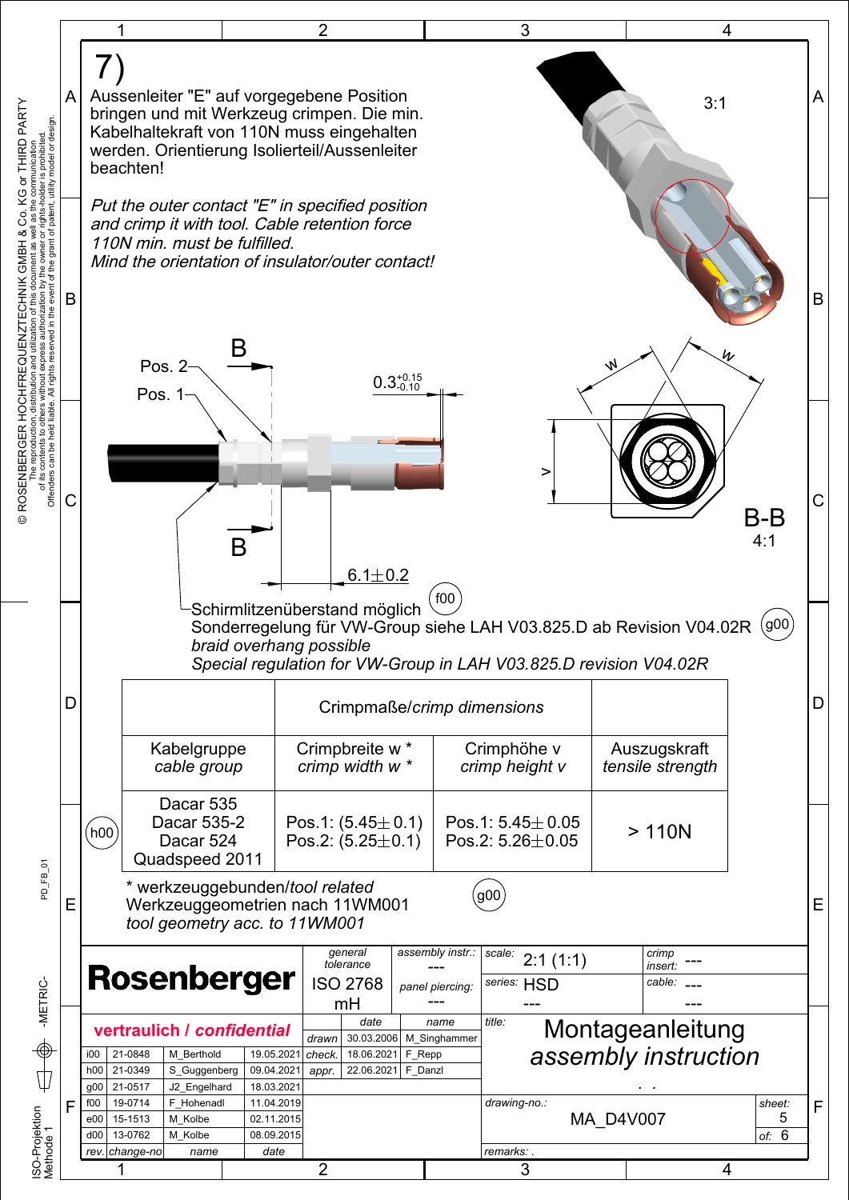